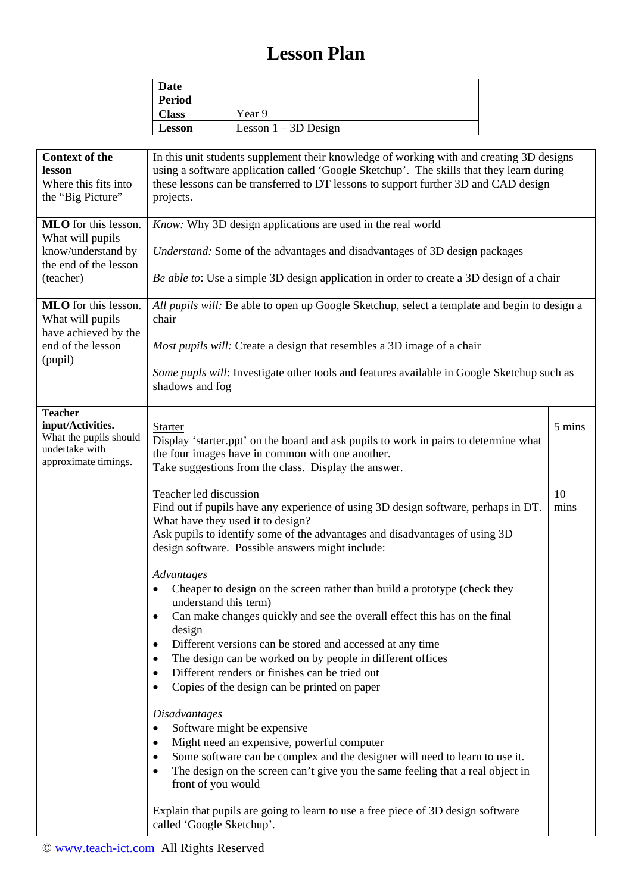## **Lesson Plan**

| Date          |                        |
|---------------|------------------------|
| <b>Period</b> |                        |
| <b>Class</b>  | Year 9                 |
| <b>Lesson</b> | Lesson $1 - 3D$ Design |

| <b>Context of the</b><br>lesson<br>Where this fits into<br>the "Big Picture"                            | In this unit students supplement their knowledge of working with and creating 3D designs<br>using a software application called 'Google Sketchup'. The skills that they learn during<br>these lessons can be transferred to DT lessons to support further 3D and CAD design<br>projects. |            |  |
|---------------------------------------------------------------------------------------------------------|------------------------------------------------------------------------------------------------------------------------------------------------------------------------------------------------------------------------------------------------------------------------------------------|------------|--|
| MLO for this lesson.<br>What will pupils                                                                | Know: Why 3D design applications are used in the real world                                                                                                                                                                                                                              |            |  |
| know/understand by<br>the end of the lesson<br>(teacher)                                                | Understand: Some of the advantages and disadvantages of 3D design packages                                                                                                                                                                                                               |            |  |
|                                                                                                         | Be able to: Use a simple 3D design application in order to create a 3D design of a chair                                                                                                                                                                                                 |            |  |
| <b>MLO</b> for this lesson.<br>What will pupils<br>have achieved by the<br>end of the lesson<br>(pupil) | All pupils will: Be able to open up Google Sketchup, select a template and begin to design a<br>chair                                                                                                                                                                                    |            |  |
|                                                                                                         | Most pupils will: Create a design that resembles a 3D image of a chair                                                                                                                                                                                                                   |            |  |
|                                                                                                         | Some pupls will: Investigate other tools and features available in Google Sketchup such as<br>shadows and fog                                                                                                                                                                            |            |  |
| <b>Teacher</b><br>input/Activities.<br>What the pupils should<br>undertake with<br>approximate timings. | <b>Starter</b>                                                                                                                                                                                                                                                                           | 5 mins     |  |
|                                                                                                         | Display 'starter.ppt' on the board and ask pupils to work in pairs to determine what<br>the four images have in common with one another.<br>Take suggestions from the class. Display the answer.                                                                                         |            |  |
|                                                                                                         | Teacher led discussion<br>Find out if pupils have any experience of using 3D design software, perhaps in DT.<br>What have they used it to design?<br>Ask pupils to identify some of the advantages and disadvantages of using 3D<br>design software. Possible answers might include:     | 10<br>mins |  |
|                                                                                                         | Advantages                                                                                                                                                                                                                                                                               |            |  |
|                                                                                                         | Cheaper to design on the screen rather than build a prototype (check they<br>understand this term)                                                                                                                                                                                       |            |  |
|                                                                                                         | Can make changes quickly and see the overall effect this has on the final<br>design                                                                                                                                                                                                      |            |  |
|                                                                                                         | Different versions can be stored and accessed at any time<br>$\bullet$                                                                                                                                                                                                                   |            |  |
|                                                                                                         | The design can be worked on by people in different offices<br>Different renders or finishes can be tried out                                                                                                                                                                             |            |  |
|                                                                                                         | Copies of the design can be printed on paper                                                                                                                                                                                                                                             |            |  |
|                                                                                                         | <b>Disadvantages</b><br>Software might be expensive<br>$\bullet$                                                                                                                                                                                                                         |            |  |
|                                                                                                         | Might need an expensive, powerful computer                                                                                                                                                                                                                                               |            |  |
|                                                                                                         | Some software can be complex and the designer will need to learn to use it.<br>The design on the screen can't give you the same feeling that a real object in<br>front of you would                                                                                                      |            |  |
|                                                                                                         | Explain that pupils are going to learn to use a free piece of 3D design software<br>called 'Google Sketchup'.                                                                                                                                                                            |            |  |